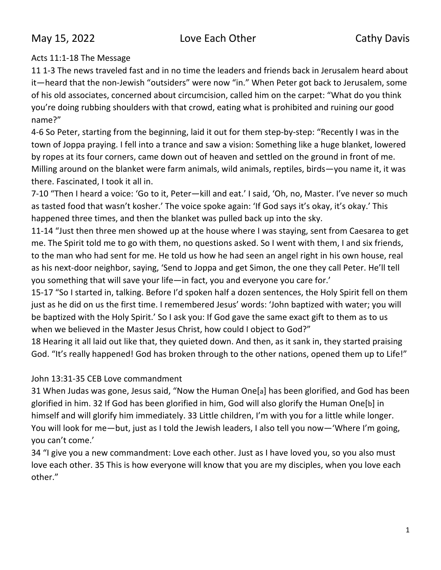## Acts 11:1-18 The Message

11 1-3 The news traveled fast and in no time the leaders and friends back in Jerusalem heard about it—heard that the non-Jewish "outsiders" were now "in." When Peter got back to Jerusalem, some of his old associates, concerned about circumcision, called him on the carpet: "What do you think you're doing rubbing shoulders with that crowd, eating what is prohibited and ruining our good name?"

4-6 So Peter, starting from the beginning, laid it out for them step-by-step: "Recently I was in the town of Joppa praying. I fell into a trance and saw a vision: Something like a huge blanket, lowered by ropes at its four corners, came down out of heaven and settled on the ground in front of me. Milling around on the blanket were farm animals, wild animals, reptiles, birds—you name it, it was there. Fascinated, I took it all in.

7-10 "Then I heard a voice: 'Go to it, Peter—kill and eat.' I said, 'Oh, no, Master. I've never so much as tasted food that wasn't kosher.' The voice spoke again: 'If God says it's okay, it's okay.' This happened three times, and then the blanket was pulled back up into the sky.

11-14 "Just then three men showed up at the house where I was staying, sent from Caesarea to get me. The Spirit told me to go with them, no questions asked. So I went with them, I and six friends, to the man who had sent for me. He told us how he had seen an angel right in his own house, real as his next-door neighbor, saying, 'Send to Joppa and get Simon, the one they call Peter. He'll tell you something that will save your life—in fact, you and everyone you care for.'

15-17 "So I started in, talking. Before I'd spoken half a dozen sentences, the Holy Spirit fell on them just as he did on us the first time. I remembered Jesus' words: 'John baptized with water; you will be baptized with the Holy Spirit.' So I ask you: If God gave the same exact gift to them as to us when we believed in the Master Jesus Christ, how could I object to God?"

18 Hearing it all laid out like that, they quieted down. And then, as it sank in, they started praising God. "It's really happened! God has broken through to the other nations, opened them up to Life!"

## John 13:31-35 CEB Love commandment

31 When Judas was gone, Jesus said, "Now the Human One[a] has been glorified, and God has been glorified in him. 32 If God has been glorified in him, God will also glorify the Human One[b] in himself and will glorify him immediately. 33 Little children, I'm with you for a little while longer. You will look for me—but, just as I told the Jewish leaders, I also tell you now—'Where I'm going, you can't come.'

34 "I give you a new commandment: Love each other. Just as I have loved you, so you also must love each other. 35 This is how everyone will know that you are my disciples, when you love each other."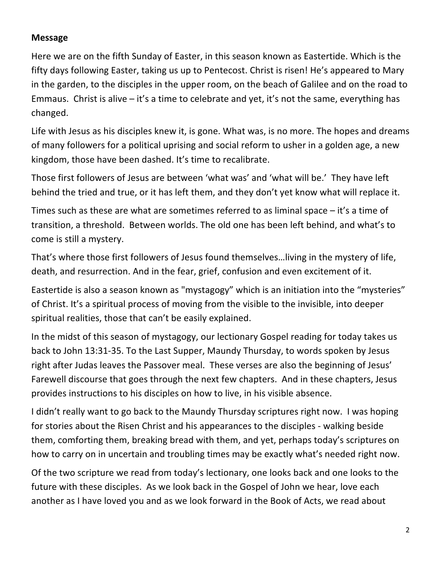## **Message**

Here we are on the fifth Sunday of Easter, in this season known as Eastertide. Which is the fifty days following Easter, taking us up to Pentecost. Christ is risen! He's appeared to Mary in the garden, to the disciples in the upper room, on the beach of Galilee and on the road to Emmaus. Christ is alive – it's a time to celebrate and yet, it's not the same, everything has changed.

Life with Jesus as his disciples knew it, is gone. What was, is no more. The hopes and dreams of many followers for a political uprising and social reform to usher in a golden age, a new kingdom, those have been dashed. It's time to recalibrate.

Those first followers of Jesus are between 'what was' and 'what will be.' They have left behind the tried and true, or it has left them, and they don't yet know what will replace it.

Times such as these are what are sometimes referred to as liminal space – it's a time of transition, a threshold. Between worlds. The old one has been left behind, and what's to come is still a mystery.

That's where those first followers of Jesus found themselves…living in the mystery of life, death, and resurrection. And in the fear, grief, confusion and even excitement of it.

Eastertide is also a season known as "mystagogy" which is an initiation into the "mysteries" of Christ. It's a spiritual process of moving from the visible to the invisible, into deeper spiritual realities, those that can't be easily explained.

In the midst of this season of mystagogy, our lectionary Gospel reading for today takes us back to John 13:31-35. To the Last Supper, Maundy Thursday, to words spoken by Jesus right after Judas leaves the Passover meal. These verses are also the beginning of Jesus' Farewell discourse that goes through the next few chapters. And in these chapters, Jesus provides instructions to his disciples on how to live, in his visible absence.

I didn't really want to go back to the Maundy Thursday scriptures right now. I was hoping for stories about the Risen Christ and his appearances to the disciples - walking beside them, comforting them, breaking bread with them, and yet, perhaps today's scriptures on how to carry on in uncertain and troubling times may be exactly what's needed right now.

Of the two scripture we read from today's lectionary, one looks back and one looks to the future with these disciples. As we look back in the Gospel of John we hear, love each another as I have loved you and as we look forward in the Book of Acts, we read about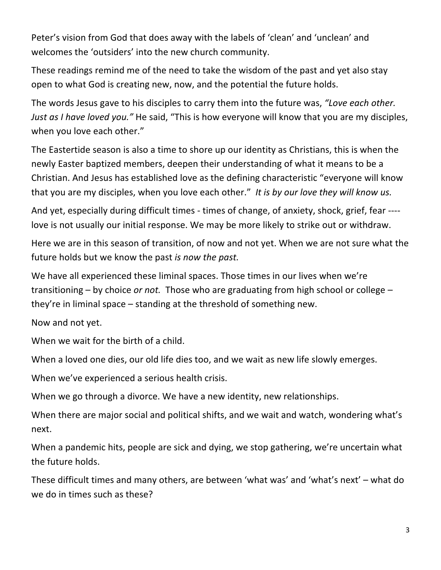Peter's vision from God that does away with the labels of 'clean' and 'unclean' and welcomes the 'outsiders' into the new church community.

These readings remind me of the need to take the wisdom of the past and yet also stay open to what God is creating new, now, and the potential the future holds.

The words Jesus gave to his disciples to carry them into the future was, *"Love each other. Just as I have loved you."* He said, "This is how everyone will know that you are my disciples, when you love each other."

The Eastertide season is also a time to shore up our identity as Christians, this is when the newly Easter baptized members, deepen their understanding of what it means to be a Christian. And Jesus has established love as the defining characteristic "everyone will know that you are my disciples, when you love each other." *It is by our love they will know us.* 

And yet, especially during difficult times - times of change, of anxiety, shock, grief, fear --- love is not usually our initial response. We may be more likely to strike out or withdraw.

Here we are in this season of transition, of now and not yet. When we are not sure what the future holds but we know the past *is now the past.*

We have all experienced these liminal spaces. Those times in our lives when we're transitioning – by choice *or not.* Those who are graduating from high school or college – they're in liminal space – standing at the threshold of something new.

Now and not yet.

When we wait for the birth of a child.

When a loved one dies, our old life dies too, and we wait as new life slowly emerges.

When we've experienced a serious health crisis.

When we go through a divorce. We have a new identity, new relationships.

When there are major social and political shifts, and we wait and watch, wondering what's next.

When a pandemic hits, people are sick and dying, we stop gathering, we're uncertain what the future holds.

These difficult times and many others, are between 'what was' and 'what's next' – what do we do in times such as these?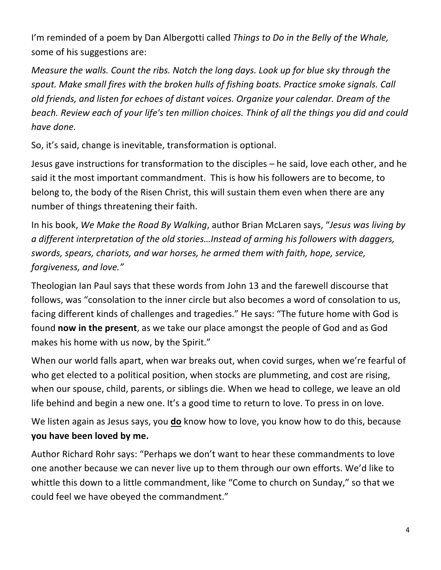I'm reminded of a poem by Dan Albergotti called *Things to Do in the Belly of the Whale,* some of his suggestions are:

*Measure the walls. Count the ribs. Notch the long days. Look up for blue sky through the spout. Make small fires with the broken hulls of fishing boats. Practice smoke signals. Call old friends, and listen for echoes of distant voices. Organize your calendar. Dream of the beach. Review each of your life's ten million choices. Think of all the things you did and could have done.* 

So, it's said, change is inevitable, transformation is optional.

Jesus gave instructions for transformation to the disciples – he said, love each other, and he said it the most important commandment. This is how his followers are to become, to belong to, the body of the Risen Christ, this will sustain them even when there are any number of things threatening their faith.

In his book, *We Make the Road By Walking*, author Brian McLaren says, "*Jesus was living by a different interpretation of the old stories…Instead of arming his followers with daggers, swords, spears, chariots, and war horses, he armed them with faith, hope, service, forgiveness, and love."* 

Theologian Ian Paul says that these words from John 13 and the farewell discourse that follows, was "consolation to the inner circle but also becomes a word of consolation to us, facing different kinds of challenges and tragedies." He says: "The future home with God is found **now in the present**, as we take our place amongst the people of God and as God makes his home with us now, by the Spirit."

When our world falls apart, when war breaks out, when covid surges, when we're fearful of who get elected to a political position, when stocks are plummeting, and cost are rising, when our spouse, child, parents, or siblings die. When we head to college, we leave an old life behind and begin a new one. It's a good time to return to love. To press in on love.

We listen again as Jesus says, you **do** know how to love, you know how to do this, because **you have been loved by me.** 

Author Richard Rohr says: "Perhaps we don't want to hear these commandments to love one another because we can never live up to them through our own efforts. We'd like to whittle this down to a little commandment, like "Come to church on Sunday," so that we could feel we have obeyed the commandment."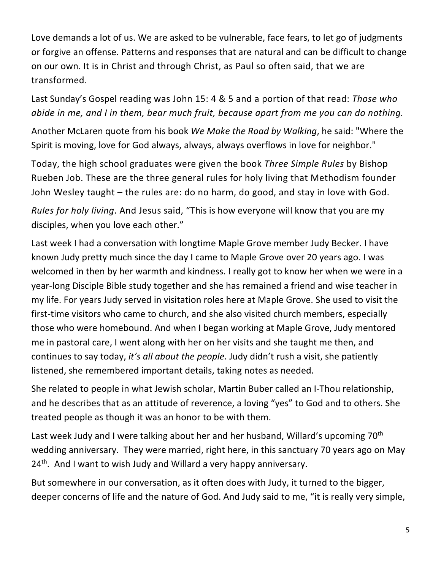Love demands a lot of us. We are asked to be vulnerable, face fears, to let go of judgments or forgive an offense. Patterns and responses that are natural and can be difficult to change on our own. It is in Christ and through Christ, as Paul so often said, that we are transformed.

Last Sunday's Gospel reading was John 15: 4 & 5 and a portion of that read: *Those who abide in me, and I in them, bear much fruit, because apart from me you can do nothing.*

Another McLaren quote from his book *We Make the Road by Walking*, he said: "Where the Spirit is moving, love for God always, always, always overflows in love for neighbor."

Today, the high school graduates were given the book *Three Simple Rules* by Bishop Rueben Job. These are the three general rules for holy living that Methodism founder John Wesley taught – the rules are: do no harm, do good, and stay in love with God.

*Rules for holy living*. And Jesus said, "This is how everyone will know that you are my disciples, when you love each other."

Last week I had a conversation with longtime Maple Grove member Judy Becker. I have known Judy pretty much since the day I came to Maple Grove over 20 years ago. I was welcomed in then by her warmth and kindness. I really got to know her when we were in a year-long Disciple Bible study together and she has remained a friend and wise teacher in my life. For years Judy served in visitation roles here at Maple Grove. She used to visit the first-time visitors who came to church, and she also visited church members, especially those who were homebound. And when I began working at Maple Grove, Judy mentored me in pastoral care, I went along with her on her visits and she taught me then, and continues to say today, *it's all about the people.* Judy didn't rush a visit, she patiently listened, she remembered important details, taking notes as needed.

She related to people in what Jewish scholar, Martin Buber called an I-Thou relationship, and he describes that as an attitude of reverence, a loving "yes" to God and to others. She treated people as though it was an honor to be with them.

Last week Judy and I were talking about her and her husband, Willard's upcoming 70<sup>th</sup> wedding anniversary. They were married, right here, in this sanctuary 70 years ago on May  $24<sup>th</sup>$ . And I want to wish Judy and Willard a very happy anniversary.

But somewhere in our conversation, as it often does with Judy, it turned to the bigger, deeper concerns of life and the nature of God. And Judy said to me, "it is really very simple,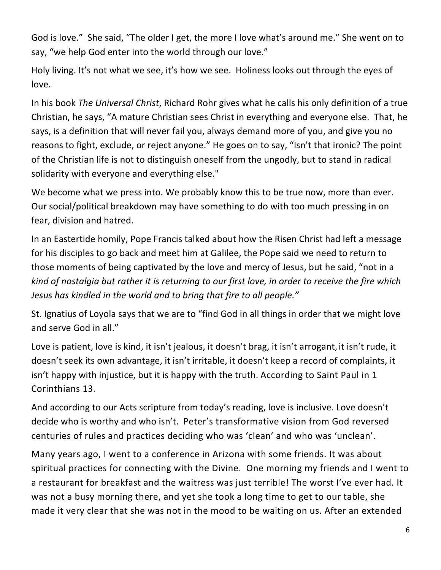God is love." She said, "The older I get, the more I love what's around me." She went on to say, "we help God enter into the world through our love."

Holy living. It's not what we see, it's how we see. Holiness looks out through the eyes of love.

In his book *The Universal Christ*, Richard Rohr gives what he calls his only definition of a true Christian, he says, "A mature Christian sees Christ in everything and everyone else. That, he says, is a definition that will never fail you, always demand more of you, and give you no reasons to fight, exclude, or reject anyone." He goes on to say, "Isn't that ironic? The point of the Christian life is not to distinguish oneself from the ungodly, but to stand in radical solidarity with everyone and everything else."

We become what we press into. We probably know this to be true now, more than ever. Our social/political breakdown may have something to do with too much pressing in on fear, division and hatred.

In an Eastertide homily, Pope Francis talked about how the Risen Christ had left a message for his disciples to go back and meet him at Galilee, the Pope said we need to return to those moments of being captivated by the love and mercy of Jesus, but he said, "not in a kind of nostalgia but rather it is returning to our first love, in order to receive the fire which *Jesus has kindled in the world and to bring that fire to all people."*

St. Ignatius of Loyola says that we are to "find God in all things in order that we might love and serve God in all."

Love is patient, love is kind, it isn't jealous, it doesn't brag, it isn't arrogant, it isn't rude, it doesn't seek its own advantage, it isn't irritable, it doesn't keep a record of complaints, it isn't happy with injustice, but it is happy with the truth. According to Saint Paul in 1 Corinthians 13.

And according to our Acts scripture from today's reading, love is inclusive. Love doesn't decide who is worthy and who isn't. Peter's transformative vision from God reversed centuries of rules and practices deciding who was 'clean' and who was 'unclean'.

Many years ago, I went to a conference in Arizona with some friends. It was about spiritual practices for connecting with the Divine. One morning my friends and I went to a restaurant for breakfast and the waitress was just terrible! The worst I've ever had. It was not a busy morning there, and yet she took a long time to get to our table, she made it very clear that she was not in the mood to be waiting on us. After an extended